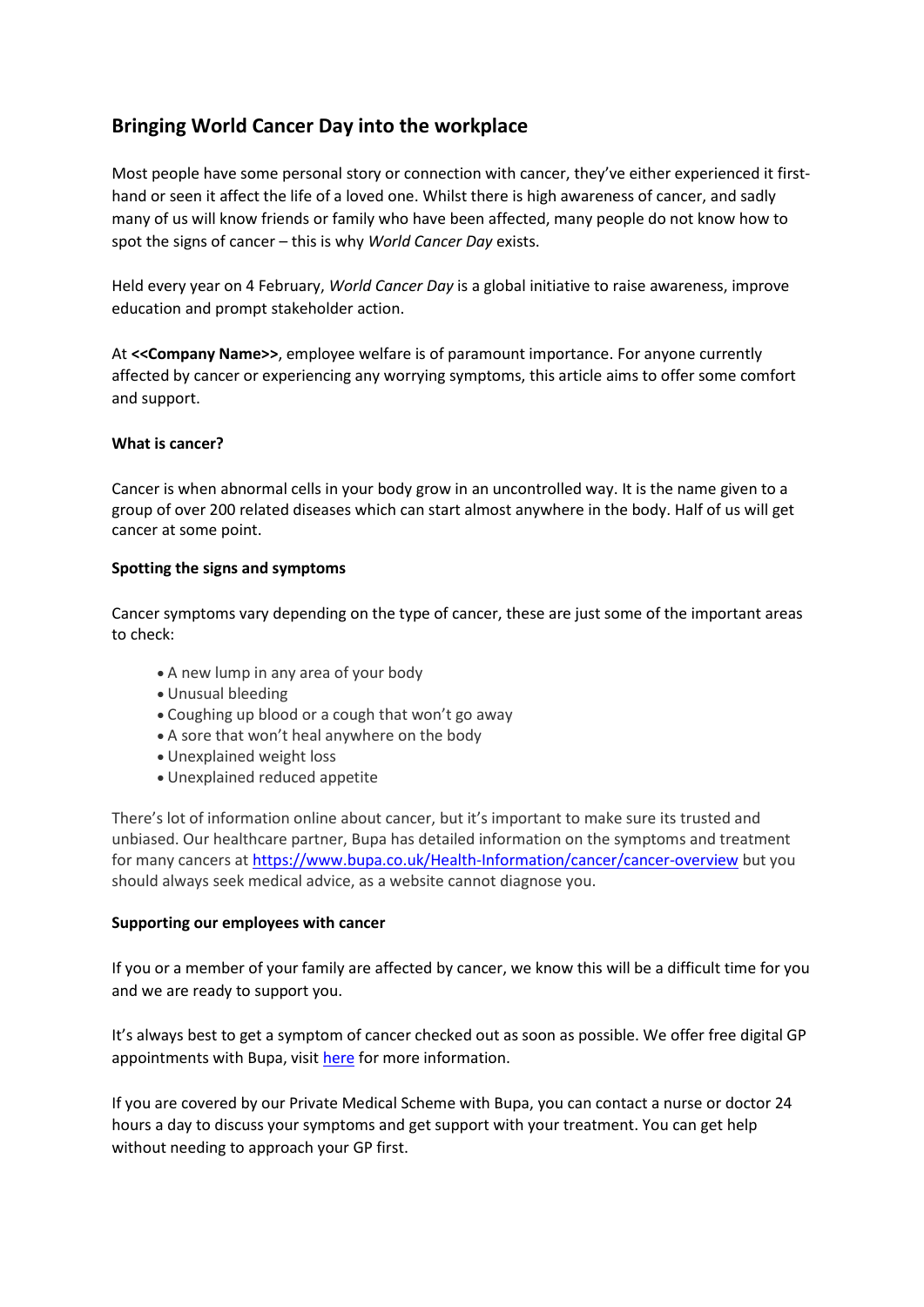# **Bringing World Cancer Day into the workplace**

Most people have some personal story or connection with cancer, they've either experienced it firsthand or seen it affect the life of a loved one. Whilst there is high awareness of cancer, and sadly many of us will know friends or family who have been affected, many people do not know how to spot the signs of cancer – this is why *World Cancer Day* exists.

Held every year on 4 February, *World Cancer Day* is a global initiative to raise awareness, improve education and prompt stakeholder action.

At **<<Company Name>>**, employee welfare is of paramount importance. For anyone currently affected by cancer or experiencing any worrying symptoms, this article aims to offer some comfort and support.

# **What is cancer?**

Cancer is when abnormal cells in your body grow in an uncontrolled way. It is the name given to a group of over 200 related diseases which can start almost anywhere in the body. Half of us will get cancer at some point.

# **Spotting the signs and symptoms**

Cancer symptoms vary depending on the type of cancer, these are just some of the important areas to check:

- A new lump in any area of your body
- Unusual bleeding
- Coughing up blood or a cough that won't go away
- A sore that won't heal anywhere on the body
- Unexplained weight loss
- Unexplained reduced appetite

There's lot of information online about cancer, but it's important to make sure its trusted and unbiased. Our healthcare partner, Bupa has detailed information on the symptoms and treatment for many cancers at <https://www.bupa.co.uk/Health-Information/cancer/cancer-overview> but you should always seek medical advice, as a website cannot diagnose you.

# **Supporting our employees with cancer**

If you or a member of your family are affected by cancer, we know this will be a difficult time for you and we are ready to support you.

It's always best to get a symptom of cancer checked out as soon as possible. We offer free digital GP appointments with Bupa, visit [here](https://www.bupa.co.uk/health/health-insurance/digital-gp) for more information.

If you are covered by our Private Medical Scheme with Bupa, you can contact a nurse or doctor 24 hours a day to discuss your symptoms and get support with your treatment. You can get help without needing to approach your GP first.